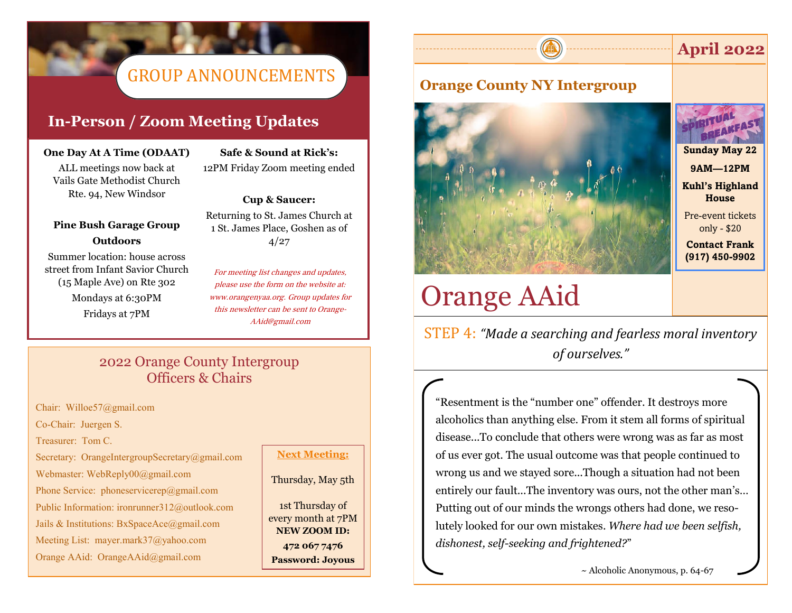# GROUP ANNOUNCEMENTS

### **In-Person / Zoom Meeting Updates**

### **One Day At A Time (ODAAT)**

ALL meetings now back at Vails Gate Methodist Church Rte. 94, New Windsor

### **Pine Bush Garage Group Outdoors**

Summer location: house across street from Infant Savior Church (15 Maple Ave) on Rte 302 Mondays at 6:30PM Fridays at 7PM

**Safe & Sound at Rick's:** 12PM Friday Zoom meeting ended

### **Cup & Saucer:**

Returning to St. James Church at 1 St. James Place, Goshen as of 4/27

For meeting list changes and updates, please use the form on the website at: www.orangenyaa.org. Group updates for this newsletter can be sent to Orange-AAid@gmail.com

### 2022 Orange County Intergroup Officers & Chairs

Chair: Willoe57@gmail.com

Co-Chair: Juergen S.

Treasurer: Tom C.

Secretary: OrangeIntergroupSecretary@gmail.com

Webmaster: WebReply00@gmail.com

Phone Service: phoneservicerep@gmail.com

Public Information: ironrunner312@outlook.com

Jails & Institutions: BxSpaceAce@gmail.com

Meeting List: mayer.mark37@yahoo.com

Orange AAid: OrangeAAid@gmail.com

### **Next Meeting:**

### Thursday, May 5th

1st Thursday of every month at 7PM **NEW ZOOM ID: 472 067 7476 Password: Joyous**

# **Orange County NY Intergroup**



**April 2022**



**Sunday May 22 9AM—12PM Kuhl's Highland** 

**House**

Pre-event tickets only - \$20

**Contact Frank (917) 450-9902**

# Orange AAid

STEP 4: *"Made a searching and fearless moral inventory of ourselves."* 

"Resentment is the "number one" offender. It destroys more alcoholics than anything else. From it stem all forms of spiritual disease...To conclude that others were wrong was as far as most of us ever got. The usual outcome was that people continued to wrong us and we stayed sore...Though a situation had not been entirely our fault...The inventory was ours, not the other man's… Putting out of our minds the wrongs others had done, we resolutely looked for our own mistakes. *Where had we been selfish, dishonest, self-seeking and frightened?*"

~ Alcoholic Anonymous, p. 64-67